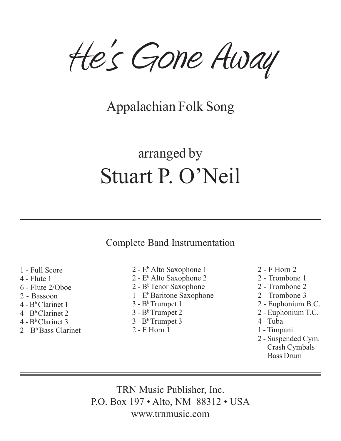He's Gone Away

## Appalachian Folk Song

## arranged by Stuart P. O'Neil

Complete Band Instrumentation

1 - Full Score 4 - Flute 1 6 - Flute 2/Oboe 2 - Bassoon 4 - BbClarinet 1  $4 - B<sup>b</sup>$  Clarinet 2  $4 - B<sup>b</sup>$  Clarinet 3  $2 - B<sup>b</sup>$  Bass Clarinet

- 2 E<sup>b</sup> Alto Saxophone 1 2 - E<sup>b</sup> Alto Saxophone 2 2 - BbTenor Saxophone  $1 - E<sup>b</sup>$  Baritone Saxophone  $3 - B<sup>b</sup>$  Trumpet 1  $3 - B<sup>b</sup>$  Trumpet 2  $3 - B<sup>b</sup>$  Trumpet 3
- 2 F Horn 1
- 2 F Horn 2
- 2 Trombone 1
- 2 Trombone 2
- 2 Trombone 3
- 2 Euphonium B.C.
- 2 Euphonium T.C.
- 4 Tuba
- 1 Timpani
- 2 Suspended Cym. Crash Cymbals Bass Drum

TRN Music Publisher, Inc. P.O. Box 197 • Alto, NM 88312 • USA www.trnmusic.com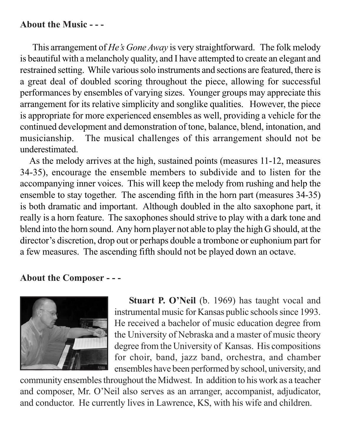## **About the Music - - -**

This arrangement of *He's Gone Away* is very straightforward. The folk melody is beautiful with a melancholy quality, and I have attempted to create an elegant and restrained setting. While various solo instruments and sections are featured, there is a great deal of doubled scoring throughout the piece, allowing for successful performances by ensembles of varying sizes. Younger groups may appreciate this arrangement for its relative simplicity and songlike qualities. However, the piece is appropriate for more experienced ensembles as well, providing a vehicle for the continued development and demonstration of tone, balance, blend, intonation, and musicianship. The musical challenges of this arrangement should not be underestimated.

 As the melody arrives at the high, sustained points (measures 11-12, measures 34-35), encourage the ensemble members to subdivide and to listen for the accompanying inner voices. This will keep the melody from rushing and help the ensemble to stay together. The ascending fifth in the horn part (measures 34-35) is both dramatic and important. Although doubled in the alto saxophone part, it really is a horn feature. The saxophones should strive to play with a dark tone and blend into the horn sound. Any horn player not able to play the high G should, at the director's discretion, drop out or perhaps double a trombone or euphonium part for a few measures. The ascending fifth should not be played down an octave.

## **About the Composer - - -**



**Stuart P. O'Neil** (b. 1969) has taught vocal and instrumental music for Kansas public schools since 1993. He received a bachelor of music education degree from the University of Nebraska and a master of music theory degree from the University of Kansas. His compositions for choir, band, jazz band, orchestra, and chamber ensembles have been performed by school, university, and

community ensembles throughout the Midwest. In addition to his work as a teacher and composer, Mr. O'Neil also serves as an arranger, accompanist, adjudicator, and conductor. He currently lives in Lawrence, KS, with his wife and children.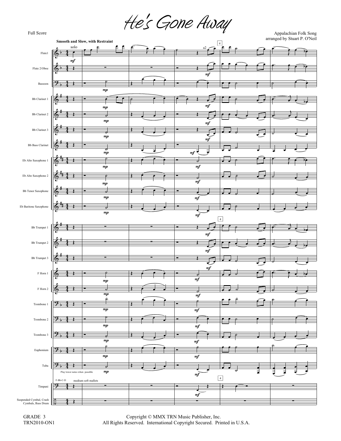Full Score  $He's$  GONE  $Away$ 



 Copyright © MMX TRN Music Publisher, Inc. All Rights Reserved. International Copyright Secured. Printed in U.S.A.